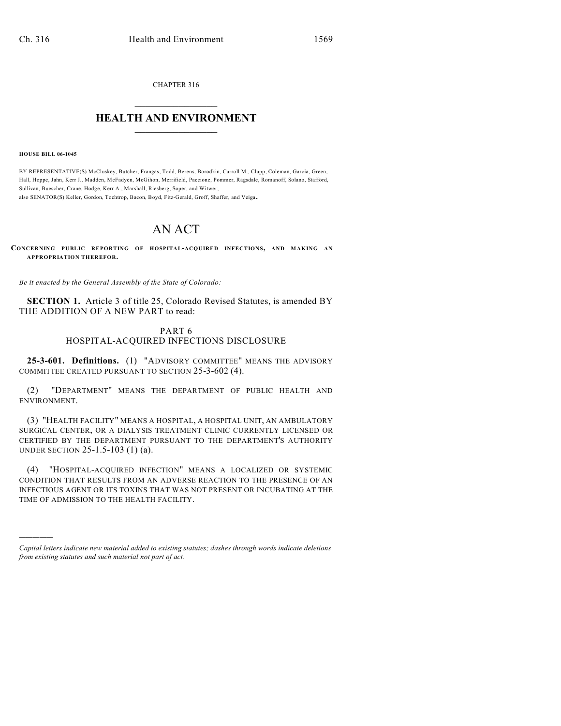CHAPTER 316

## $\overline{\phantom{a}}$  . The set of the set of the set of the set of the set of the set of the set of the set of the set of the set of the set of the set of the set of the set of the set of the set of the set of the set of the set o **HEALTH AND ENVIRONMENT**  $\_$

**HOUSE BILL 06-1045**

)))))

BY REPRESENTATIVE(S) McCluskey, Butcher, Frangas, Todd, Berens, Borodkin, Carroll M., Clapp, Coleman, Garcia, Green, Hall, Hoppe, Jahn, Kerr J., Madden, McFadyen, McGihon, Merrifield, Paccione, Pommer, Ragsdale, Romanoff, Solano, Stafford, Sullivan, Buescher, Crane, Hodge, Kerr A., Marshall, Riesberg, Soper, and Witwer; also SENATOR(S) Keller, Gordon, Tochtrop, Bacon, Boyd, Fitz-Gerald, Groff, Shaffer, and Veiga.

## AN ACT

**CONCERNING PUBLIC REPORTING OF HOSPITAL-ACQUIRED INFECTIONS, AND MAKING AN APPROPRIATION THEREFOR.**

*Be it enacted by the General Assembly of the State of Colorado:*

**SECTION 1.** Article 3 of title 25, Colorado Revised Statutes, is amended BY THE ADDITION OF A NEW PART to read:

## PART 6 HOSPITAL-ACQUIRED INFECTIONS DISCLOSURE

**25-3-601. Definitions.** (1) "ADVISORY COMMITTEE" MEANS THE ADVISORY COMMITTEE CREATED PURSUANT TO SECTION 25-3-602 (4).

(2) "DEPARTMENT" MEANS THE DEPARTMENT OF PUBLIC HEALTH AND ENVIRONMENT.

(3) "HEALTH FACILITY" MEANS A HOSPITAL, A HOSPITAL UNIT, AN AMBULATORY SURGICAL CENTER, OR A DIALYSIS TREATMENT CLINIC CURRENTLY LICENSED OR CERTIFIED BY THE DEPARTMENT PURSUANT TO THE DEPARTMENT'S AUTHORITY UNDER SECTION 25-1.5-103 (1) (a).

(4) "HOSPITAL-ACQUIRED INFECTION" MEANS A LOCALIZED OR SYSTEMIC CONDITION THAT RESULTS FROM AN ADVERSE REACTION TO THE PRESENCE OF AN INFECTIOUS AGENT OR ITS TOXINS THAT WAS NOT PRESENT OR INCUBATING AT THE TIME OF ADMISSION TO THE HEALTH FACILITY.

*Capital letters indicate new material added to existing statutes; dashes through words indicate deletions from existing statutes and such material not part of act.*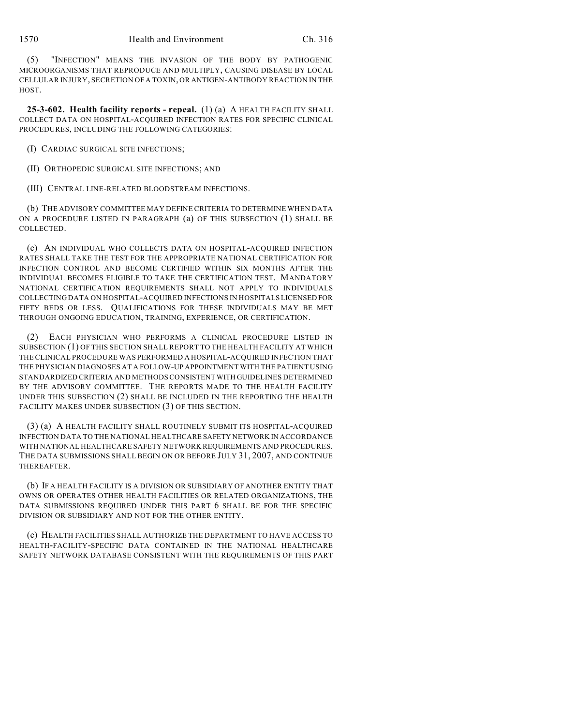(5) "INFECTION" MEANS THE INVASION OF THE BODY BY PATHOGENIC MICROORGANISMS THAT REPRODUCE AND MULTIPLY, CAUSING DISEASE BY LOCAL CELLULAR INJURY, SECRETION OF A TOXIN, OR ANTIGEN-ANTIBODY REACTION IN THE HOST.

**25-3-602. Health facility reports - repeal.** (1) (a) A HEALTH FACILITY SHALL COLLECT DATA ON HOSPITAL-ACQUIRED INFECTION RATES FOR SPECIFIC CLINICAL PROCEDURES, INCLUDING THE FOLLOWING CATEGORIES:

(I) CARDIAC SURGICAL SITE INFECTIONS;

(II) ORTHOPEDIC SURGICAL SITE INFECTIONS; AND

(III) CENTRAL LINE-RELATED BLOODSTREAM INFECTIONS.

(b) THE ADVISORY COMMITTEE MAY DEFINE CRITERIA TO DETERMINE WHEN DATA ON A PROCEDURE LISTED IN PARAGRAPH (a) OF THIS SUBSECTION (1) SHALL BE COLLECTED.

(c) AN INDIVIDUAL WHO COLLECTS DATA ON HOSPITAL-ACQUIRED INFECTION RATES SHALL TAKE THE TEST FOR THE APPROPRIATE NATIONAL CERTIFICATION FOR INFECTION CONTROL AND BECOME CERTIFIED WITHIN SIX MONTHS AFTER THE INDIVIDUAL BECOMES ELIGIBLE TO TAKE THE CERTIFICATION TEST. MANDATORY NATIONAL CERTIFICATION REQUIREMENTS SHALL NOT APPLY TO INDIVIDUALS COLLECTING DATA ON HOSPITAL-ACQUIRED INFECTIONS IN HOSPITALS LICENSED FOR FIFTY BEDS OR LESS. OUALIFICATIONS FOR THESE INDIVIDUALS MAY BE MET THROUGH ONGOING EDUCATION, TRAINING, EXPERIENCE, OR CERTIFICATION.

(2) EACH PHYSICIAN WHO PERFORMS A CLINICAL PROCEDURE LISTED IN SUBSECTION (1) OF THIS SECTION SHALL REPORT TO THE HEALTH FACILITY AT WHICH THE CLINICAL PROCEDURE WAS PERFORMED A HOSPITAL-ACQUIRED INFECTION THAT THE PHYSICIAN DIAGNOSES AT A FOLLOW-UP APPOINTMENT WITH THE PATIENT USING STANDARDIZED CRITERIA AND METHODS CONSISTENT WITH GUIDELINES DETERMINED BY THE ADVISORY COMMITTEE. THE REPORTS MADE TO THE HEALTH FACILITY UNDER THIS SUBSECTION (2) SHALL BE INCLUDED IN THE REPORTING THE HEALTH FACILITY MAKES UNDER SUBSECTION (3) OF THIS SECTION.

(3) (a) A HEALTH FACILITY SHALL ROUTINELY SUBMIT ITS HOSPITAL-ACQUIRED INFECTION DATA TO THE NATIONAL HEALTHCARE SAFETY NETWORK IN ACCORDANCE WITH NATIONAL HEALTHCARE SAFETY NETWORK REQUIREMENTS AND PROCEDURES. THE DATA SUBMISSIONS SHALL BEGIN ON OR BEFORE JULY 31, 2007, AND CONTINUE THEREAFTER.

(b) IF A HEALTH FACILITY IS A DIVISION OR SUBSIDIARY OF ANOTHER ENTITY THAT OWNS OR OPERATES OTHER HEALTH FACILITIES OR RELATED ORGANIZATIONS, THE DATA SUBMISSIONS REQUIRED UNDER THIS PART 6 SHALL BE FOR THE SPECIFIC DIVISION OR SUBSIDIARY AND NOT FOR THE OTHER ENTITY.

(c) HEALTH FACILITIES SHALL AUTHORIZE THE DEPARTMENT TO HAVE ACCESS TO HEALTH-FACILITY-SPECIFIC DATA CONTAINED IN THE NATIONAL HEALTHCARE SAFETY NETWORK DATABASE CONSISTENT WITH THE REQUIREMENTS OF THIS PART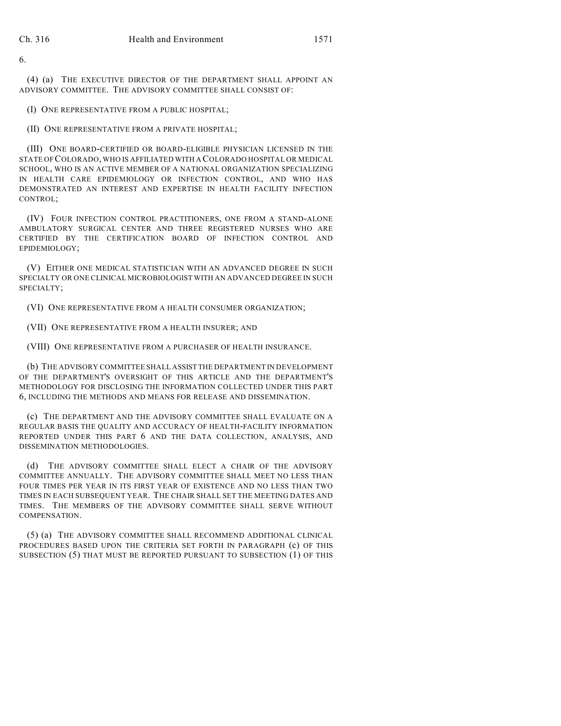6.

(4) (a) THE EXECUTIVE DIRECTOR OF THE DEPARTMENT SHALL APPOINT AN ADVISORY COMMITTEE. THE ADVISORY COMMITTEE SHALL CONSIST OF:

(I) ONE REPRESENTATIVE FROM A PUBLIC HOSPITAL;

(II) ONE REPRESENTATIVE FROM A PRIVATE HOSPITAL;

(III) ONE BOARD-CERTIFIED OR BOARD-ELIGIBLE PHYSICIAN LICENSED IN THE STATE OF COLORADO, WHO IS AFFILIATED WITH A COLORADO HOSPITAL OR MEDICAL SCHOOL, WHO IS AN ACTIVE MEMBER OF A NATIONAL ORGANIZATION SPECIALIZING IN HEALTH CARE EPIDEMIOLOGY OR INFECTION CONTROL, AND WHO HAS DEMONSTRATED AN INTEREST AND EXPERTISE IN HEALTH FACILITY INFECTION CONTROL;

(IV) FOUR INFECTION CONTROL PRACTITIONERS, ONE FROM A STAND-ALONE AMBULATORY SURGICAL CENTER AND THREE REGISTERED NURSES WHO ARE CERTIFIED BY THE CERTIFICATION BOARD OF INFECTION CONTROL AND EPIDEMIOLOGY;

(V) EITHER ONE MEDICAL STATISTICIAN WITH AN ADVANCED DEGREE IN SUCH SPECIALTY OR ONE CLINICAL MICROBIOLOGIST WITH AN ADVANCED DEGREE IN SUCH SPECIALTY;

(VI) ONE REPRESENTATIVE FROM A HEALTH CONSUMER ORGANIZATION;

(VII) ONE REPRESENTATIVE FROM A HEALTH INSURER; AND

(VIII) ONE REPRESENTATIVE FROM A PURCHASER OF HEALTH INSURANCE.

(b) THE ADVISORY COMMITTEE SHALL ASSIST THE DEPARTMENT IN DEVELOPMENT OF THE DEPARTMENT'S OVERSIGHT OF THIS ARTICLE AND THE DEPARTMENT'S METHODOLOGY FOR DISCLOSING THE INFORMATION COLLECTED UNDER THIS PART 6, INCLUDING THE METHODS AND MEANS FOR RELEASE AND DISSEMINATION.

(c) THE DEPARTMENT AND THE ADVISORY COMMITTEE SHALL EVALUATE ON A REGULAR BASIS THE QUALITY AND ACCURACY OF HEALTH-FACILITY INFORMATION REPORTED UNDER THIS PART 6 AND THE DATA COLLECTION, ANALYSIS, AND DISSEMINATION METHODOLOGIES.

(d) THE ADVISORY COMMITTEE SHALL ELECT A CHAIR OF THE ADVISORY COMMITTEE ANNUALLY. THE ADVISORY COMMITTEE SHALL MEET NO LESS THAN FOUR TIMES PER YEAR IN ITS FIRST YEAR OF EXISTENCE AND NO LESS THAN TWO TIMES IN EACH SUBSEQUENT YEAR. THE CHAIR SHALL SET THE MEETING DATES AND TIMES. THE MEMBERS OF THE ADVISORY COMMITTEE SHALL SERVE WITHOUT COMPENSATION.

(5) (a) THE ADVISORY COMMITTEE SHALL RECOMMEND ADDITIONAL CLINICAL PROCEDURES BASED UPON THE CRITERIA SET FORTH IN PARAGRAPH (c) OF THIS SUBSECTION (5) THAT MUST BE REPORTED PURSUANT TO SUBSECTION (1) OF THIS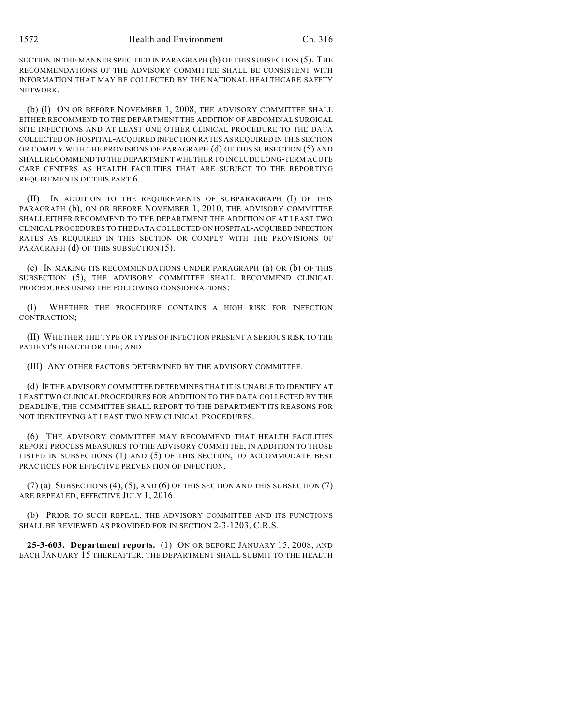SECTION IN THE MANNER SPECIFIED IN PARAGRAPH (b) OF THIS SUBSECTION (5). THE RECOMMENDATIONS OF THE ADVISORY COMMITTEE SHALL BE CONSISTENT WITH INFORMATION THAT MAY BE COLLECTED BY THE NATIONAL HEALTHCARE SAFETY NETWORK.

(b) (I) ON OR BEFORE NOVEMBER 1, 2008, THE ADVISORY COMMITTEE SHALL EITHER RECOMMEND TO THE DEPARTMENT THE ADDITION OF ABDOMINAL SURGICAL SITE INFECTIONS AND AT LEAST ONE OTHER CLINICAL PROCEDURE TO THE DATA COLLECTED ON HOSPITAL-ACQUIRED INFECTION RATES AS REQUIRED IN THIS SECTION OR COMPLY WITH THE PROVISIONS OF PARAGRAPH (d) OF THIS SUBSECTION (5) AND SHALL RECOMMEND TO THE DEPARTMENT WHETHER TO INCLUDE LONG-TERM ACUTE CARE CENTERS AS HEALTH FACILITIES THAT ARE SUBJECT TO THE REPORTING REQUIREMENTS OF THIS PART 6.

(II) IN ADDITION TO THE REQUIREMENTS OF SUBPARAGRAPH (I) OF THIS PARAGRAPH (b), ON OR BEFORE NOVEMBER 1, 2010, THE ADVISORY COMMITTEE SHALL EITHER RECOMMEND TO THE DEPARTMENT THE ADDITION OF AT LEAST TWO CLINICAL PROCEDURES TO THE DATA COLLECTED ON HOSPITAL-ACQUIRED INFECTION RATES AS REQUIRED IN THIS SECTION OR COMPLY WITH THE PROVISIONS OF PARAGRAPH (d) OF THIS SUBSECTION (5).

(c) IN MAKING ITS RECOMMENDATIONS UNDER PARAGRAPH (a) OR (b) OF THIS SUBSECTION (5), THE ADVISORY COMMITTEE SHALL RECOMMEND CLINICAL PROCEDURES USING THE FOLLOWING CONSIDERATIONS:

(I) WHETHER THE PROCEDURE CONTAINS A HIGH RISK FOR INFECTION CONTRACTION;

(II) WHETHER THE TYPE OR TYPES OF INFECTION PRESENT A SERIOUS RISK TO THE PATIENT'S HEALTH OR LIFE; AND

(III) ANY OTHER FACTORS DETERMINED BY THE ADVISORY COMMITTEE.

(d) IF THE ADVISORY COMMITTEE DETERMINES THAT IT IS UNABLE TO IDENTIFY AT LEAST TWO CLINICAL PROCEDURES FOR ADDITION TO THE DATA COLLECTED BY THE DEADLINE, THE COMMITTEE SHALL REPORT TO THE DEPARTMENT ITS REASONS FOR NOT IDENTIFYING AT LEAST TWO NEW CLINICAL PROCEDURES.

(6) THE ADVISORY COMMITTEE MAY RECOMMEND THAT HEALTH FACILITIES REPORT PROCESS MEASURES TO THE ADVISORY COMMITTEE, IN ADDITION TO THOSE LISTED IN SUBSECTIONS (1) AND (5) OF THIS SECTION, TO ACCOMMODATE BEST PRACTICES FOR EFFECTIVE PREVENTION OF INFECTION.

 $(7)$  (a) SUBSECTIONS  $(4)$ ,  $(5)$ , AND  $(6)$  OF THIS SECTION AND THIS SUBSECTION  $(7)$ ARE REPEALED, EFFECTIVE JULY 1, 2016.

(b) PRIOR TO SUCH REPEAL, THE ADVISORY COMMITTEE AND ITS FUNCTIONS SHALL BE REVIEWED AS PROVIDED FOR IN SECTION 2-3-1203, C.R.S.

**25-3-603. Department reports.** (1) ON OR BEFORE JANUARY 15, 2008, AND EACH JANUARY 15 THEREAFTER, THE DEPARTMENT SHALL SUBMIT TO THE HEALTH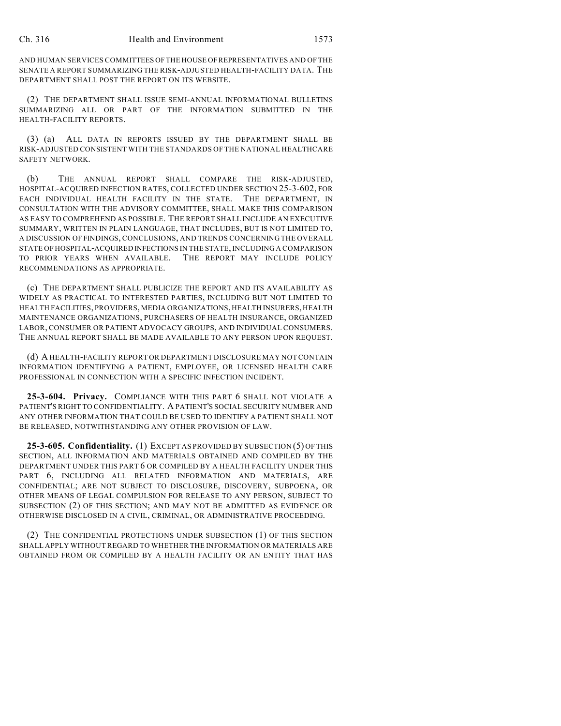AND HUMAN SERVICES COMMITTEES OF THE HOUSE OF REPRESENTATIVES AND OF THE SENATE A REPORT SUMMARIZING THE RISK-ADJUSTED HEALTH-FACILITY DATA. THE DEPARTMENT SHALL POST THE REPORT ON ITS WEBSITE.

(2) THE DEPARTMENT SHALL ISSUE SEMI-ANNUAL INFORMATIONAL BULLETINS SUMMARIZING ALL OR PART OF THE INFORMATION SUBMITTED IN THE HEALTH-FACILITY REPORTS.

(3) (a) ALL DATA IN REPORTS ISSUED BY THE DEPARTMENT SHALL BE RISK-ADJUSTED CONSISTENT WITH THE STANDARDS OF THE NATIONAL HEALTHCARE SAFETY NETWORK.

(b) THE ANNUAL REPORT SHALL COMPARE THE RISK-ADJUSTED, HOSPITAL-ACQUIRED INFECTION RATES, COLLECTED UNDER SECTION 25-3-602, FOR EACH INDIVIDUAL HEALTH FACILITY IN THE STATE. THE DEPARTMENT, IN CONSULTATION WITH THE ADVISORY COMMITTEE, SHALL MAKE THIS COMPARISON AS EASY TO COMPREHEND AS POSSIBLE. THE REPORT SHALL INCLUDE AN EXECUTIVE SUMMARY, WRITTEN IN PLAIN LANGUAGE, THAT INCLUDES, BUT IS NOT LIMITED TO, A DISCUSSION OF FINDINGS, CONCLUSIONS, AND TRENDS CONCERNING THE OVERALL STATE OF HOSPITAL-ACQUIRED INFECTIONS IN THE STATE, INCLUDING A COMPARISON TO PRIOR YEARS WHEN AVAILABLE. THE REPORT MAY INCLUDE POLICY RECOMMENDATIONS AS APPROPRIATE.

(c) THE DEPARTMENT SHALL PUBLICIZE THE REPORT AND ITS AVAILABILITY AS WIDELY AS PRACTICAL TO INTERESTED PARTIES, INCLUDING BUT NOT LIMITED TO HEALTH FACILITIES, PROVIDERS, MEDIA ORGANIZATIONS, HEALTH INSURERS, HEALTH MAINTENANCE ORGANIZATIONS, PURCHASERS OF HEALTH INSURANCE, ORGANIZED LABOR, CONSUMER OR PATIENT ADVOCACY GROUPS, AND INDIVIDUAL CONSUMERS. THE ANNUAL REPORT SHALL BE MADE AVAILABLE TO ANY PERSON UPON REQUEST.

(d) A HEALTH-FACILITY REPORT OR DEPARTMENT DISCLOSURE MAY NOT CONTAIN INFORMATION IDENTIFYING A PATIENT, EMPLOYEE, OR LICENSED HEALTH CARE PROFESSIONAL IN CONNECTION WITH A SPECIFIC INFECTION INCIDENT.

**25-3-604. Privacy.** COMPLIANCE WITH THIS PART 6 SHALL NOT VIOLATE A PATIENT'S RIGHT TO CONFIDENTIALITY. A PATIENT'S SOCIAL SECURITY NUMBER AND ANY OTHER INFORMATION THAT COULD BE USED TO IDENTIFY A PATIENT SHALL NOT BE RELEASED, NOTWITHSTANDING ANY OTHER PROVISION OF LAW.

**25-3-605. Confidentiality.** (1) EXCEPT AS PROVIDED BY SUBSECTION (5) OF THIS SECTION, ALL INFORMATION AND MATERIALS OBTAINED AND COMPILED BY THE DEPARTMENT UNDER THIS PART 6 OR COMPILED BY A HEALTH FACILITY UNDER THIS PART 6, INCLUDING ALL RELATED INFORMATION AND MATERIALS, ARE CONFIDENTIAL; ARE NOT SUBJECT TO DISCLOSURE, DISCOVERY, SUBPOENA, OR OTHER MEANS OF LEGAL COMPULSION FOR RELEASE TO ANY PERSON, SUBJECT TO SUBSECTION (2) OF THIS SECTION; AND MAY NOT BE ADMITTED AS EVIDENCE OR OTHERWISE DISCLOSED IN A CIVIL, CRIMINAL, OR ADMINISTRATIVE PROCEEDING.

(2) THE CONFIDENTIAL PROTECTIONS UNDER SUBSECTION (1) OF THIS SECTION SHALL APPLY WITHOUT REGARD TO WHETHER THE INFORMATION OR MATERIALS ARE OBTAINED FROM OR COMPILED BY A HEALTH FACILITY OR AN ENTITY THAT HAS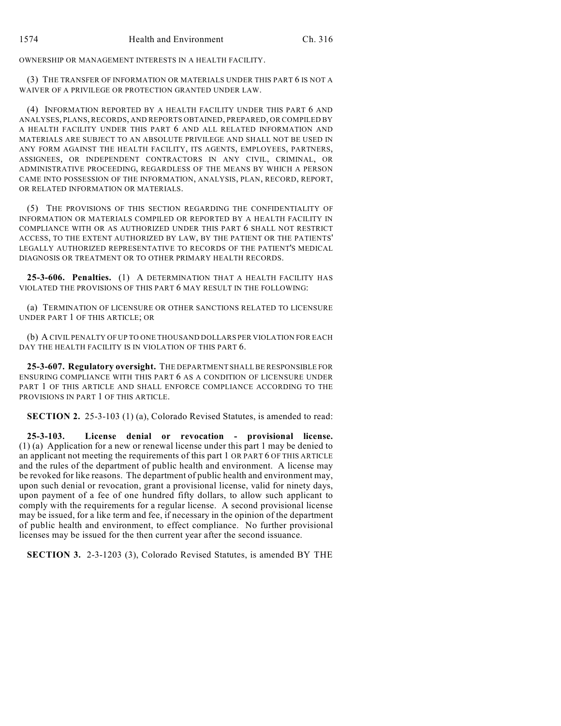OWNERSHIP OR MANAGEMENT INTERESTS IN A HEALTH FACILITY.

(3) THE TRANSFER OF INFORMATION OR MATERIALS UNDER THIS PART 6 IS NOT A WAIVER OF A PRIVILEGE OR PROTECTION GRANTED UNDER LAW.

(4) INFORMATION REPORTED BY A HEALTH FACILITY UNDER THIS PART 6 AND ANALYSES, PLANS, RECORDS, AND REPORTS OBTAINED, PREPARED, OR COMPILED BY A HEALTH FACILITY UNDER THIS PART 6 AND ALL RELATED INFORMATION AND MATERIALS ARE SUBJECT TO AN ABSOLUTE PRIVILEGE AND SHALL NOT BE USED IN ANY FORM AGAINST THE HEALTH FACILITY, ITS AGENTS, EMPLOYEES, PARTNERS, ASSIGNEES, OR INDEPENDENT CONTRACTORS IN ANY CIVIL, CRIMINAL, OR ADMINISTRATIVE PROCEEDING, REGARDLESS OF THE MEANS BY WHICH A PERSON CAME INTO POSSESSION OF THE INFORMATION, ANALYSIS, PLAN, RECORD, REPORT, OR RELATED INFORMATION OR MATERIALS.

(5) THE PROVISIONS OF THIS SECTION REGARDING THE CONFIDENTIALITY OF INFORMATION OR MATERIALS COMPILED OR REPORTED BY A HEALTH FACILITY IN COMPLIANCE WITH OR AS AUTHORIZED UNDER THIS PART 6 SHALL NOT RESTRICT ACCESS, TO THE EXTENT AUTHORIZED BY LAW, BY THE PATIENT OR THE PATIENTS' LEGALLY AUTHORIZED REPRESENTATIVE TO RECORDS OF THE PATIENT'S MEDICAL DIAGNOSIS OR TREATMENT OR TO OTHER PRIMARY HEALTH RECORDS.

**25-3-606. Penalties.** (1) A DETERMINATION THAT A HEALTH FACILITY HAS VIOLATED THE PROVISIONS OF THIS PART 6 MAY RESULT IN THE FOLLOWING:

(a) TERMINATION OF LICENSURE OR OTHER SANCTIONS RELATED TO LICENSURE UNDER PART 1 OF THIS ARTICLE; OR

(b) A CIVIL PENALTY OF UP TO ONE THOUSAND DOLLARS PER VIOLATION FOR EACH DAY THE HEALTH FACILITY IS IN VIOLATION OF THIS PART 6.

**25-3-607. Regulatory oversight.** THE DEPARTMENT SHALL BE RESPONSIBLE FOR ENSURING COMPLIANCE WITH THIS PART 6 AS A CONDITION OF LICENSURE UNDER PART 1 OF THIS ARTICLE AND SHALL ENFORCE COMPLIANCE ACCORDING TO THE PROVISIONS IN PART 1 OF THIS ARTICLE.

**SECTION 2.** 25-3-103 (1) (a), Colorado Revised Statutes, is amended to read:

**25-3-103. License denial or revocation - provisional license.** (1) (a) Application for a new or renewal license under this part 1 may be denied to an applicant not meeting the requirements of this part 1 OR PART 6 OF THIS ARTICLE and the rules of the department of public health and environment. A license may be revoked for like reasons. The department of public health and environment may, upon such denial or revocation, grant a provisional license, valid for ninety days, upon payment of a fee of one hundred fifty dollars, to allow such applicant to comply with the requirements for a regular license. A second provisional license may be issued, for a like term and fee, if necessary in the opinion of the department of public health and environment, to effect compliance. No further provisional licenses may be issued for the then current year after the second issuance.

**SECTION 3.** 2-3-1203 (3), Colorado Revised Statutes, is amended BY THE